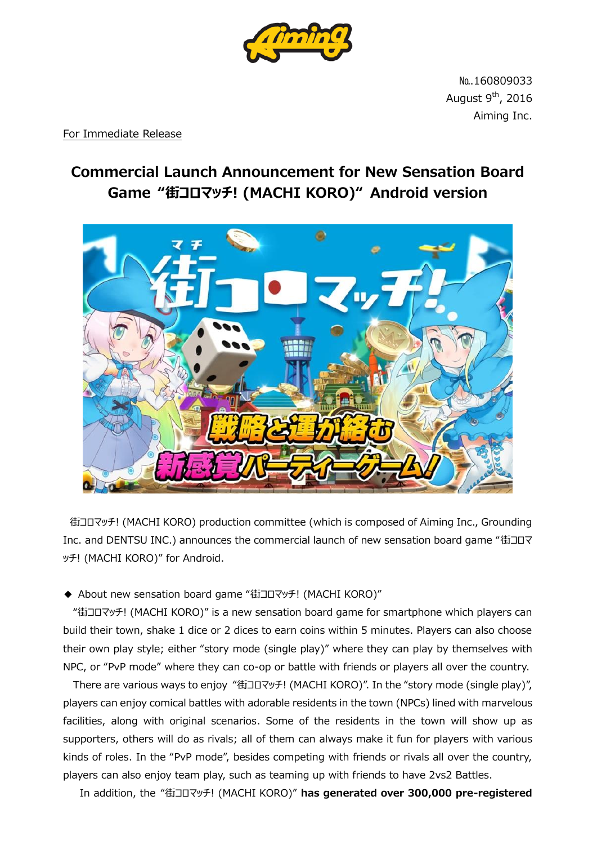

№.160809033 August  $9<sup>th</sup>$ , 2016 Aiming Inc.

For Immediate Release

## **Commercial Launch Announcement for New Sensation Board Game "街コロマッチ! (MACHI KORO)" Android version**



街コロマッチ! (MACHI KORO) production committee (which is composed of Aiming Inc., Grounding Inc. and DENTSU INC.) announces the commercial launch of new sensation board game "街コロマ ッチ! (MACHI KORO)" for Android.

◆ About new sensation board game "街コロマッチ! (MACHI KORO)"

"街コロマッチ! (MACHI KORO)" is a new sensation board game for smartphone which players can build their town, shake 1 dice or 2 dices to earn coins within 5 minutes. Players can also choose their own play style; either "story mode (single play)" where they can play by themselves with NPC, or "PvP mode" where they can co-op or battle with friends or players all over the country.

 There are various ways to enjoy "街コロマッチ! (MACHI KORO)". In the "story mode (single play)", players can enjoy comical battles with adorable residents in the town (NPCs) lined with marvelous facilities, along with original scenarios. Some of the residents in the town will show up as supporters, others will do as rivals; all of them can always make it fun for players with various kinds of roles. In the "PvP mode", besides competing with friends or rivals all over the country, players can also enjoy team play, such as teaming up with friends to have 2vs2 Battles.

In addition, the "街コロマッチ! (MACHI KORO)" **has generated over 300,000 pre-registered**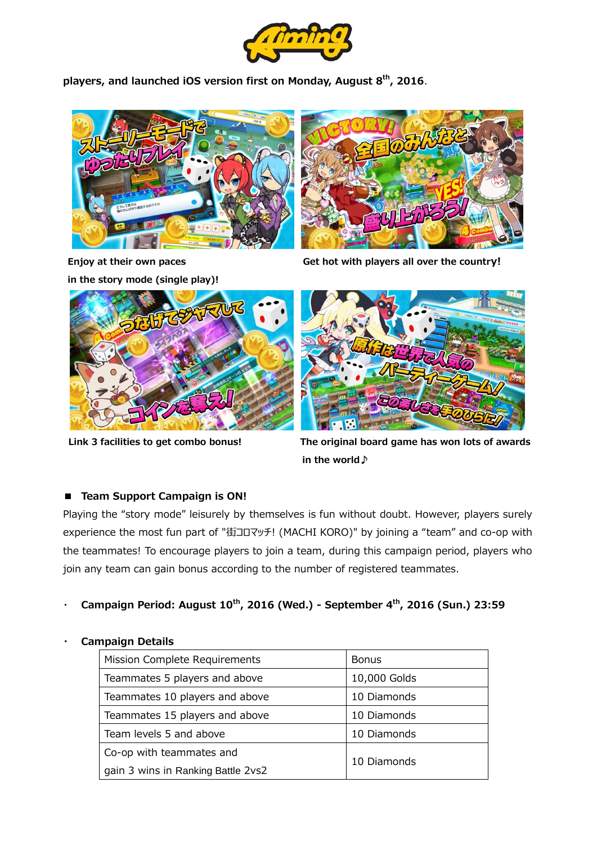

**players, and launched iOS version first on Monday, August 8 th, 2016**.





**in the story mode (single play)!**



**Enjoy at their own paces** Get hot with players all over the country!





**Link 3 facilities to get combo bonus! The original board game has won lots of awards in the world♪**

## ■ **Team Support Campaign is ON!**

Playing the "story mode" leisurely by themselves is fun without doubt. However, players surely experience the most fun part of "街コロマッチ! (MACHI KORO)" by joining a "team" and co-op with the teammates! To encourage players to join a team, during this campaign period, players who join any team can gain bonus according to the number of registered teammates.

・ **Campaign Period: August 10th, 2016 (Wed.) - September 4th, 2016 (Sun.) 23:59**

## ・ **Campaign Details**

| Mission Complete Requirements      | <b>Bonus</b> |
|------------------------------------|--------------|
| Teammates 5 players and above      | 10,000 Golds |
| Teammates 10 players and above     | 10 Diamonds  |
| Teammates 15 players and above     | 10 Diamonds  |
| Team levels 5 and above            | 10 Diamonds  |
| Co-op with teammates and           | 10 Diamonds  |
| gain 3 wins in Ranking Battle 2vs2 |              |